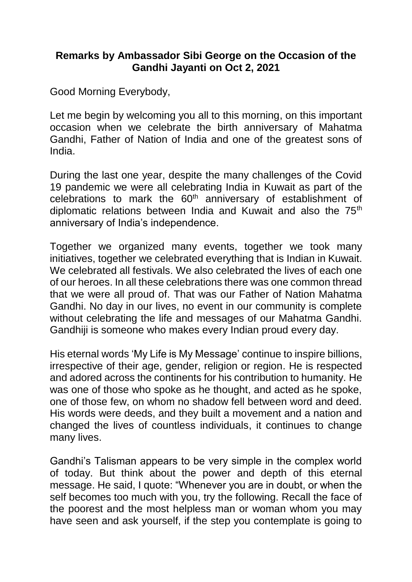## **Remarks by Ambassador Sibi George on the Occasion of the Gandhi Jayanti on Oct 2, 2021**

Good Morning Everybody,

Let me begin by welcoming you all to this morning, on this important occasion when we celebrate the birth anniversary of Mahatma Gandhi, Father of Nation of India and one of the greatest sons of India.

During the last one year, despite the many challenges of the Covid 19 pandemic we were all celebrating India in Kuwait as part of the celebrations to mark the 60<sup>th</sup> anniversary of establishment of diplomatic relations between India and Kuwait and also the 75<sup>th</sup> anniversary of India's independence.

Together we organized many events, together we took many initiatives, together we celebrated everything that is Indian in Kuwait. We celebrated all festivals. We also celebrated the lives of each one of our heroes. In all these celebrations there was one common thread that we were all proud of. That was our Father of Nation Mahatma Gandhi. No day in our lives, no event in our community is complete without celebrating the life and messages of our Mahatma Gandhi. Gandhiji is someone who makes every Indian proud every day.

His eternal words 'My Life is My Message' continue to inspire billions, irrespective of their age, gender, religion or region. He is respected and adored across the continents for his contribution to humanity. He was one of those who spoke as he thought, and acted as he spoke, one of those few, on whom no shadow fell between word and deed. His words were deeds, and they built a movement and a nation and changed the lives of countless individuals, it continues to change many lives.

Gandhi's Talisman appears to be very simple in the complex world of today. But think about the power and depth of this eternal message. He said, I quote: "Whenever you are in doubt, or when the self becomes too much with you, try the following. Recall the face of the poorest and the most helpless man or woman whom you may have seen and ask yourself, if the step you contemplate is going to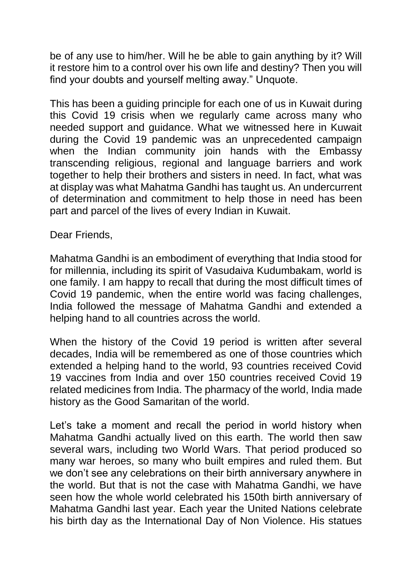be of any use to him/her. Will he be able to gain anything by it? Will it restore him to a control over his own life and destiny? Then you will find your doubts and yourself melting away." Unquote.

This has been a guiding principle for each one of us in Kuwait during this Covid 19 crisis when we regularly came across many who needed support and guidance. What we witnessed here in Kuwait during the Covid 19 pandemic was an unprecedented campaign when the Indian community join hands with the Embassy transcending religious, regional and language barriers and work together to help their brothers and sisters in need. In fact, what was at display was what Mahatma Gandhi has taught us. An undercurrent of determination and commitment to help those in need has been part and parcel of the lives of every Indian in Kuwait.

Dear Friends,

Mahatma Gandhi is an embodiment of everything that India stood for for millennia, including its spirit of Vasudaiva Kudumbakam, world is one family. I am happy to recall that during the most difficult times of Covid 19 pandemic, when the entire world was facing challenges, India followed the message of Mahatma Gandhi and extended a helping hand to all countries across the world.

When the history of the Covid 19 period is written after several decades, India will be remembered as one of those countries which extended a helping hand to the world, 93 countries received Covid 19 vaccines from India and over 150 countries received Covid 19 related medicines from India. The pharmacy of the world, India made history as the Good Samaritan of the world.

Let's take a moment and recall the period in world history when Mahatma Gandhi actually lived on this earth. The world then saw several wars, including two World Wars. That period produced so many war heroes, so many who built empires and ruled them. But we don't see any celebrations on their birth anniversary anywhere in the world. But that is not the case with Mahatma Gandhi, we have seen how the whole world celebrated his 150th birth anniversary of Mahatma Gandhi last year. Each year the United Nations celebrate his birth day as the International Day of Non Violence. His statues